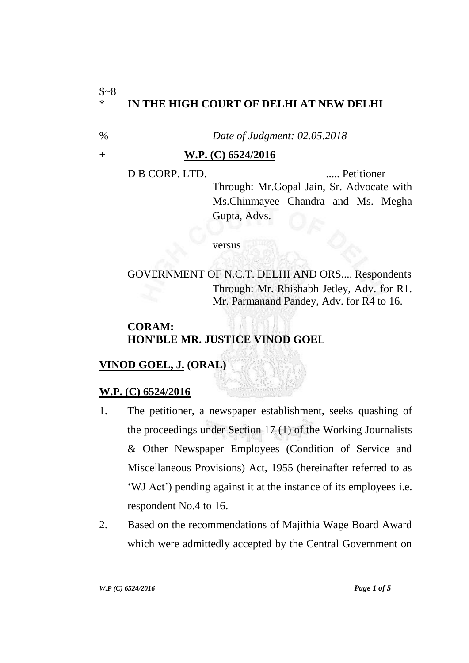### $$~8$$ \* **IN THE HIGH COURT OF DELHI AT NEW DELHI**

% *Date of Judgment: 02.05.2018*

#### + **W.P. (C) 6524/2016**

D B CORP. LTD. ..... Petitioner Through: Mr.Gopal Jain, Sr. Advocate with Ms.Chinmayee Chandra and Ms. Megha Gupta, Advs.

versus

GOVERNMENT OF N.C.T. DELHI AND ORS.... Respondents Through: Mr. Rhishabh Jetley, Adv. for R1. Mr. Parmanand Pandey, Adv. for R4 to 16.

## **CORAM: HON'BLE MR. JUSTICE VINOD GOEL**

# **VINOD GOEL, J. (ORAL)**

# **W.P. (C) 6524/2016**

- 1. The petitioner, a newspaper establishment, seeks quashing of the proceedings under Section 17 (1) of the Working Journalists & Other Newspaper Employees (Condition of Service and Miscellaneous Provisions) Act, 1955 (hereinafter referred to as 'WJ Act') pending against it at the instance of its employees i.e. respondent No.4 to 16.
- 2. Based on the recommendations of Majithia Wage Board Award which were admittedly accepted by the Central Government on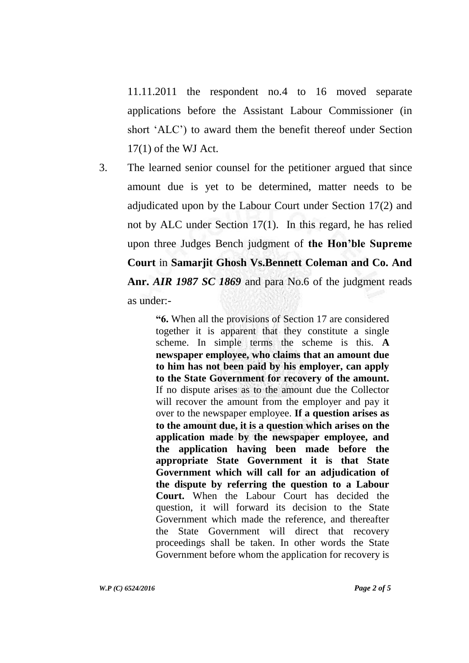11.11.2011 the respondent no.4 to 16 moved separate applications before the Assistant Labour Commissioner (in short 'ALC') to award them the benefit thereof under Section  $17(1)$  of the WJ Act.

3. The learned senior counsel for the petitioner argued that since amount due is yet to be determined, matter needs to be adjudicated upon by the Labour Court under Section 17(2) and not by ALC under Section 17(1). In this regard, he has relied upon three Judges Bench judgment of **the Hon'ble Supreme Court** in **Samarjit Ghosh Vs.Bennett Coleman and Co. And Anr.** *AIR 1987 SC 1869* and para No.6 of the judgment reads as under:-

> **"6.** When all the provisions of Section 17 are considered together it is apparent that they constitute a single scheme. In simple terms the scheme is this. **A newspaper employee, who claims that an amount due to him has not been paid by his employer, can apply to the State Government for recovery of the amount.** If no dispute arises as to the amount due the Collector will recover the amount from the employer and pay it over to the newspaper employee. **If a question arises as to the amount due, it is a question which arises on the application made by the newspaper employee, and the application having been made before the appropriate State Government it is that State Government which will call for an adjudication of the dispute by referring the question to a Labour Court.** When the Labour Court has decided the question, it will forward its decision to the State Government which made the reference, and thereafter the State Government will direct that recovery proceedings shall be taken. In other words the State Government before whom the application for recovery is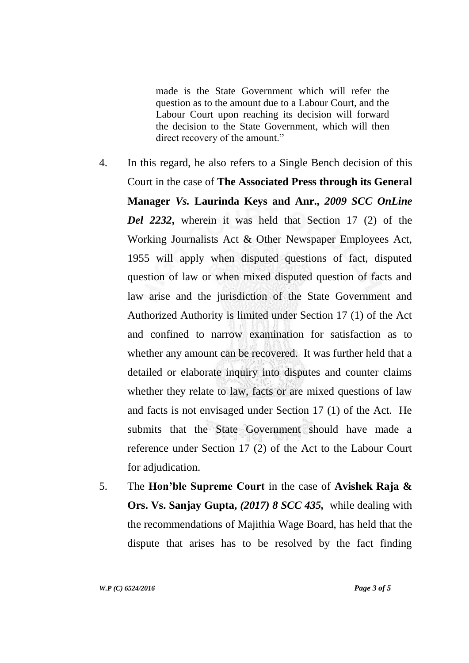made is the State Government which will refer the question as to the amount due to a Labour Court, and the Labour Court upon reaching its decision will forward the decision to the State Government, which will then direct recovery of the amount."

- 4. In this regard, he also refers to a Single Bench decision of this Court in the case of **The Associated Press through its General Manager** *Vs.* **Laurinda Keys and Anr.,** *2009 SCC OnLine Del 2232***,** wherein it was held that Section 17 (2) of the Working Journalists Act & Other Newspaper Employees Act, 1955 will apply when disputed questions of fact, disputed question of law or when mixed disputed question of facts and law arise and the jurisdiction of the State Government and Authorized Authority is limited under Section 17 (1) of the Act and confined to narrow examination for satisfaction as to whether any amount can be recovered. It was further held that a detailed or elaborate inquiry into disputes and counter claims whether they relate to law, facts or are mixed questions of law and facts is not envisaged under Section 17 (1) of the Act. He submits that the State Government should have made a reference under Section 17 (2) of the Act to the Labour Court for adjudication.
- 5. The **Hon'ble Supreme Court** in the case of **Avishek Raja & Ors. Vs. Sanjay Gupta,** *(2017) 8 SCC 435,* while dealing with the recommendations of Majithia Wage Board, has held that the dispute that arises has to be resolved by the fact finding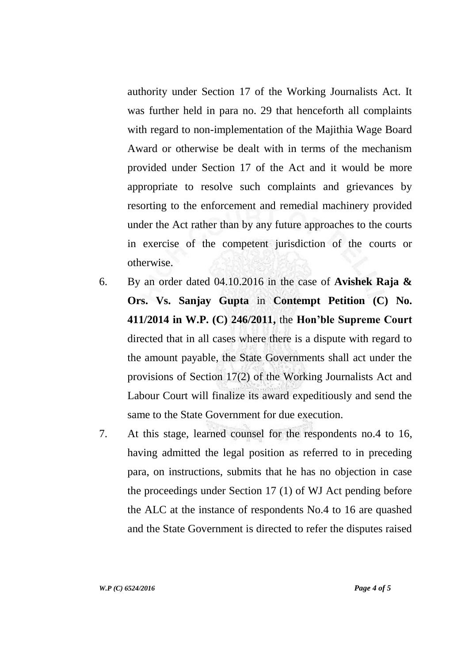authority under Section 17 of the Working Journalists Act. It was further held in para no. 29 that henceforth all complaints with regard to non-implementation of the Majithia Wage Board Award or otherwise be dealt with in terms of the mechanism provided under Section 17 of the Act and it would be more appropriate to resolve such complaints and grievances by resorting to the enforcement and remedial machinery provided under the Act rather than by any future approaches to the courts in exercise of the competent jurisdiction of the courts or otherwise.

- 6. By an order dated 04.10.2016 in the case of **Avishek Raja & Ors. Vs. Sanjay Gupta** in **Contempt Petition (C) No. 411/2014 in W.P. (C) 246/2011,** the **Hon'ble Supreme Court** directed that in all cases where there is a dispute with regard to the amount payable, the State Governments shall act under the provisions of Section 17(2) of the Working Journalists Act and Labour Court will finalize its award expeditiously and send the same to the State Government for due execution.
- 7. At this stage, learned counsel for the respondents no.4 to 16, having admitted the legal position as referred to in preceding para, on instructions, submits that he has no objection in case the proceedings under Section 17 (1) of WJ Act pending before the ALC at the instance of respondents No.4 to 16 are quashed and the State Government is directed to refer the disputes raised